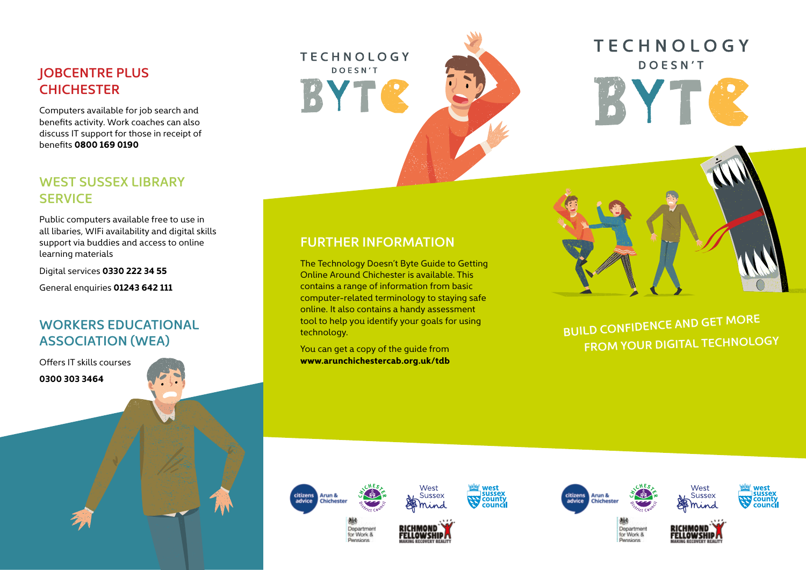## **JOBCENTRE PLUS CHICHESTER**

Computers available for job search and benefits activity. Work coaches can also discuss IT support for those in receipt of benefits **0800 169 0190**

# **WEST SUSSEX LIBRARY SERVICE**

Public computers available free to use in all libaries, WIFi availability and digital skills support via buddies and access to online learning materials

Digital services **0330 222 34 55**

General enquiries **01243 642 111**

# **WORKERS EDUCATIONAL ASSOCIATION (WEA)**

Offers IT skills courses **0300 303 3464**





# **TECHNOLOGY DOESN'T** BYTC

# **FURTHER INFORMATION**

The Technology Doesn't Byte Guide to Getting Online Around Chichester is available. This contains a range of information from basic computer-related terminology to staying safe online. It also contains a handy assessment tool to help you identify your goals for using technology.

You can get a copy of the guide from **www.arunchichestercab.org.uk/tdb**



**BUILD CONFIDENCE AND GET MORE FROM YOUR DIGITAL TECHNOLOGY**





Department

for Work & **Panelnne** 















Department for Work & **Pansinns**